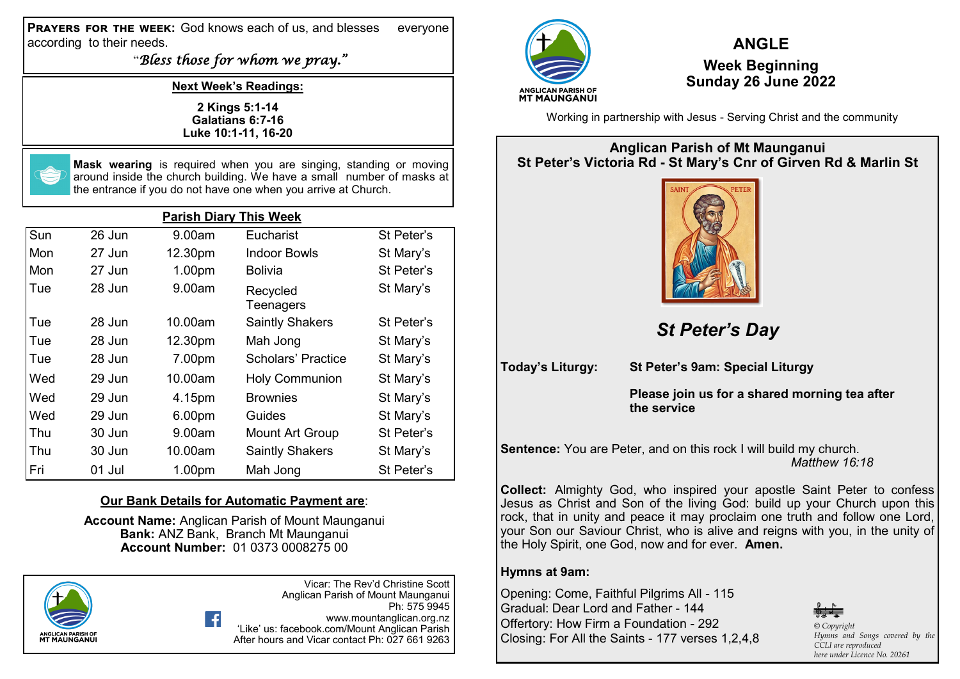**Prayers for the week:** God knows each of us, and blesses everyone according to their needs.

"*Bless those for whom we pray."*

**Next Week's Readings:**

**2 Kings 5:1-14 Galatians 6:7-16 Luke 10:1-11, 16-20**



**Mask wearing** is required when you are singing, standing or moving around inside the church building. We have a small number of masks at the entrance if you do not have one when you arrive at Church.

| <b>Parish Diary This Week</b> |          |         |                        |            |  |  |
|-------------------------------|----------|---------|------------------------|------------|--|--|
| Sun                           | 26 Jun   | 9.00am  | Eucharist              | St Peter's |  |  |
| Mon                           | 27 Jun   | 12.30pm | Indoor Bowls           | St Mary's  |  |  |
| Mon                           | 27 Jun   | 1.00pm  | <b>Bolivia</b>         | St Peter's |  |  |
| Tue                           | 28 Jun   | 9.00am  | Recycled<br>Teenagers  | St Mary's  |  |  |
| Tue                           | 28 Jun   | 10.00am | <b>Saintly Shakers</b> | St Peter's |  |  |
| Tue                           | 28 Jun   | 12.30pm | Mah Jong               | St Mary's  |  |  |
| Tue                           | 28 Jun   | 7.00pm  | Scholars' Practice     | St Mary's  |  |  |
| Wed                           | 29 Jun   | 10.00am | <b>Holy Communion</b>  | St Mary's  |  |  |
| Wed                           | $29$ Jun | 4.15pm  | <b>Brownies</b>        | St Mary's  |  |  |
| Wed                           | 29 Jun   | 6.00pm  | Guides                 | St Mary's  |  |  |
| Thu                           | 30 Jun   | 9.00am  | <b>Mount Art Group</b> | St Peter's |  |  |
| Thu                           | 30 Jun   | 10.00am | <b>Saintly Shakers</b> | St Mary's  |  |  |
| Fri                           | 01 Jul   | 1.00pm  | Mah Jong               | St Peter's |  |  |

## **Our Bank Details for Automatic Payment are**:

**Account Name:** Anglican Parish of Mount Maunganui **Bank:** ANZ Bank, Branch Mt Maunganui **Account Number:** 01 0373 0008275 00



Vicar: The Rev'd Christine Scott Anglican Parish of Mount Maunganui Ph: 575 9945 www.mountanglican.org.nz 'Like' us: facebook.com/Mount Anglican Parish After hours and Vicar contact Ph: 027 661 9263



## **ANGLE Week Beginning Sunday 26 June 2022**

Working in partnership with Jesus - Serving Christ and the community

## **Anglican Parish of Mt Maunganui St Peter's Victoria Rd - St Mary's Cnr of Girven Rd & Marlin St**



*St Peter's Day*

**Today's Liturgy: St Peter's 9am: Special Liturgy**

**Please join us for a shared morning tea after the service**

**Sentence:** You are Peter, and on this rock I will build my church. *Matthew 16:18*

**Collect:** Almighty God, who inspired your apostle Saint Peter to confess Jesus as Christ and Son of the living God: build up your Church upon this rock, that in unity and peace it may proclaim one truth and follow one Lord, your Son our Saviour Christ, who is alive and reigns with you, in the unity of the Holy Spirit, one God, now and for ever. **Amen.**

## **Hymns at 9am:**

Opening: Come, Faithful Pilgrims All - 115 Gradual: Dear Lord and Father - 144 Offertory: How Firm a Foundation - 292 Closing: For All the Saints - 177 verses 1,2,4,8



*© Copyright Hymns and Songs covered by the CCLI are reproduced here under Licence No. 20261*